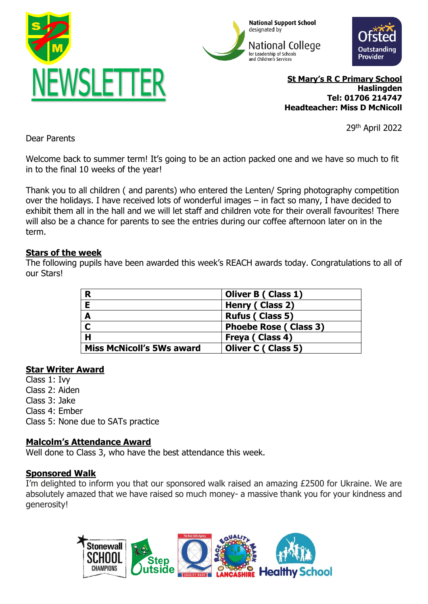





**St Mary's R C Primary School Haslingden Tel: 01706 214747 Headteacher: Miss D McNicoll**

29th April 2022

Dear Parents

Welcome back to summer term! It's going to be an action packed one and we have so much to fit in to the final 10 weeks of the year!

Thank you to all children ( and parents) who entered the Lenten/ Spring photography competition over the holidays. I have received lots of wonderful images – in fact so many, I have decided to exhibit them all in the hall and we will let staff and children vote for their overall favourites! There will also be a chance for parents to see the entries during our coffee afternoon later on in the term.

## **Stars of the week**

The following pupils have been awarded this week's REACH awards today. Congratulations to all of our Stars!

| R                                | Oliver B (Class 1)            |
|----------------------------------|-------------------------------|
|                                  | Henry (Class 2)               |
| A                                | <b>Rufus (Class 5)</b>        |
|                                  | <b>Phoebe Rose ( Class 3)</b> |
| H                                | Freya (Class 4)               |
| <b>Miss McNicoll's 5Ws award</b> | <b>Oliver C ( Class 5)</b>    |

## **Star Writer Award**

Class 1: Ivy

- Class 2: Aiden
- Class 3: Jake
- Class 4: Ember

Class 5: None due to SATs practice

## **Malcolm's Attendance Award**

Well done to Class 3, who have the best attendance this week.

## **Sponsored Walk**

I'm delighted to inform you that our sponsored walk raised an amazing £2500 for Ukraine. We are absolutely amazed that we have raised so much money- a massive thank you for your kindness and generosity!